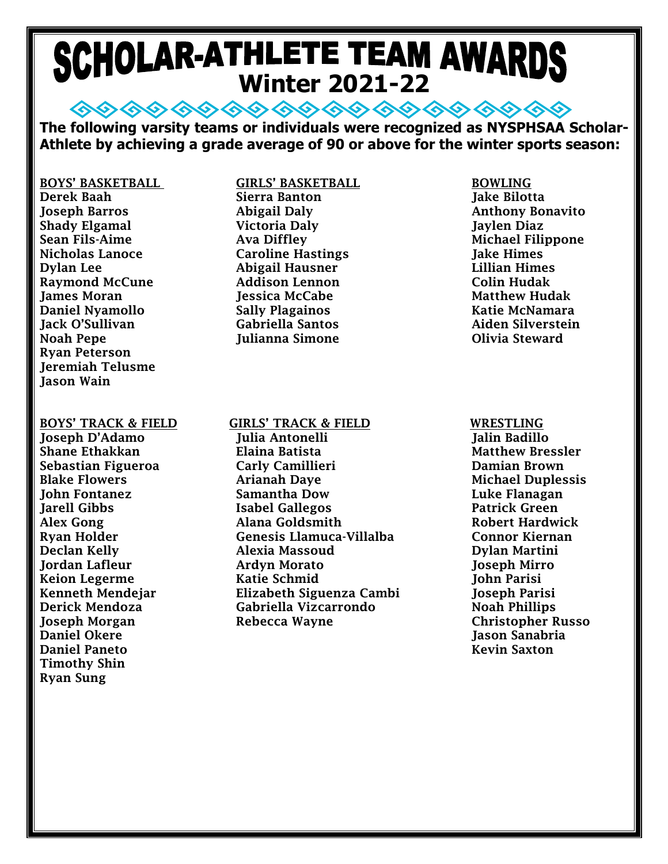# **SCHOLAR-ATHLETE TEAM AWARDS**

**◇◇◇◇ ◇◇◇◇ ◇◇ ◇◇ ◇◇ ◇◇ ◇◇ ◇◇ The following varsity teams or individuals were recognized as NYSPHSAA Scholar-Athlete by achieving a grade average of 90 or above for the winter sports season:**

BOYS' BASKETBALL GIRLS' BASKETBALL BOWLING Derek Baah Sierra Banton Jake Bilotta Joseph Barros Abigail Daly Anthony Bonavito Shady Elgamal Victoria Daly Jaylen Diaz Sean Fils-Aime Ava Diffley Michael Filippone Nicholas Lanoce Caroline Hastings Jake Himes Dylan Lee Abigail Hausner Lillian Himes Raymond McCune **Addison Lennon** Colin Hudak **James Moran 1986 1986 12 Julie 1: Joseph Matthew Hudak** Matthew Hudak Daniel Nyamollo Sally Plagainos Katie McNamara Jack O'Sullivan Gabriella Santos Aiden Silverstein Noah Pepe **Julianna Simone** Communist Communist Communist Communist Communist Communist Communist Communist Communist Communist Communist Communist Communist Communist Communist Communist Communist Communist Communist Comm Ryan Peterson Jeremiah Telusme Jason Wain

Daniel Okere Jason Sanabria Daniel Paneto Kevin Saxton Timothy Shin Ryan Sung

BOYS' TRACK & FIELD GIRLS' TRACK & FIELD WRESTLING

Joseph D'Adamo Julia Antonelli Jalin Badillo Shane Ethakkan Elaina Batista Matthew Bressler Sebastian Figueroa Carly Camillieri Damian Brown Blake Flowers **Arianah Daye** Michael Duplessis John Fontanez Samantha Dow Luke Flanagan Jarell Gibbs Isabel Gallegos Patrick Green Alex Gong **Alana Goldsmith** Robert Hardwick Ryan Holder Genesis Llamuca-Villalba Connor Kiernan Declan Kelly Alexia Massoud Dylan Martini Jordan Lafleur Ardyn Morato Joseph Mirro Keion Legerme Katie Schmid John Parisi Kenneth Mendejar Elizabeth Siguenza Cambi Joseph Parisi Derick Mendoza Gabriella Vizcarrondo Noah Phillips Joseph Morgan Rebecca Wayne Christopher Russo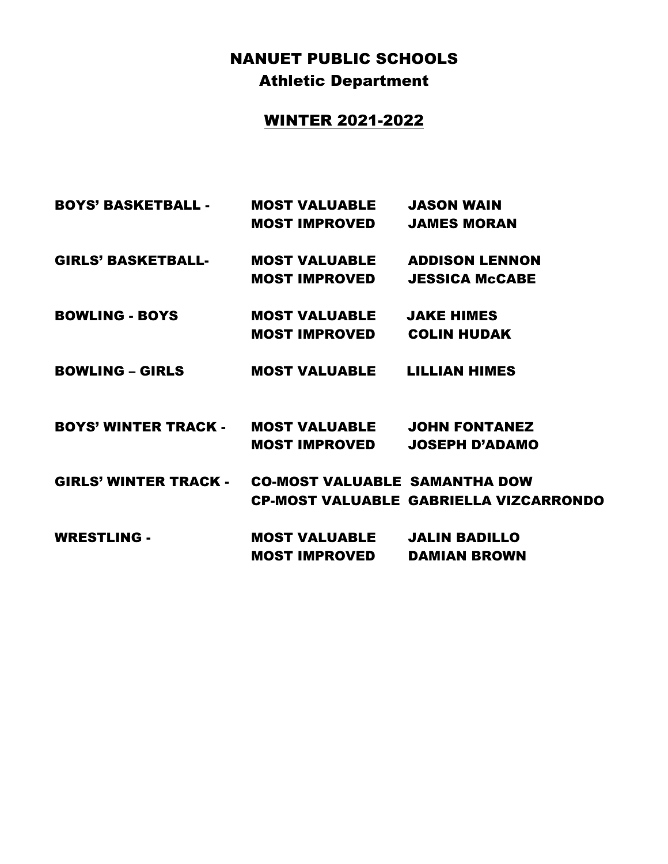## NANUET PUBLIC SCHOOLS Athletic Department

### WINTER 2021-2022

| <b>BOYS' BASKETBALL -</b>                           | <b>MOST VALUABLE JASON WAIN</b>     |                                               |
|-----------------------------------------------------|-------------------------------------|-----------------------------------------------|
|                                                     | <b>MOST IMPROVED</b>                | <b>JAMES MORAN</b>                            |
| <b>GIRLS' BASKETBALL-</b>                           | <b>MOST VALUABLE ADDISON LENNON</b> |                                               |
|                                                     | <b>MOST IMPROVED</b>                | <b>JESSICA McCABE</b>                         |
| <b>BOWLING - BOYS</b>                               | <b>MOST VALUABLE</b>                | <b>JAKE HIMES</b>                             |
|                                                     | MOST IMPROVED                       | <b>COLIN HUDAK</b>                            |
| <b>BOWLING – GIRLS</b>                              | <b>MOST VALUABLE LILLIAN HIMES</b>  |                                               |
| <b>BOYS' WINTER TRACK - MOST VALUABLE</b>           |                                     | <b>JOHN FONTANEZ</b>                          |
|                                                     | <b>MOST IMPROVED</b>                | <b>JOSEPH D'ADAMO</b>                         |
| GIRLS' WINTER TRACK - CO-MOST VALUABLE SAMANTHA DOW |                                     |                                               |
|                                                     |                                     | <b>CP-MOST VALUABLE GABRIELLA VIZCARRONDO</b> |
| <b>WRESTLING -</b>                                  | <b>MOST VALUABLE</b>                | <b>JALIN BADILLO</b>                          |
|                                                     | <b>MOST IMPROVED</b>                | <b>DAMIAN BROWN</b>                           |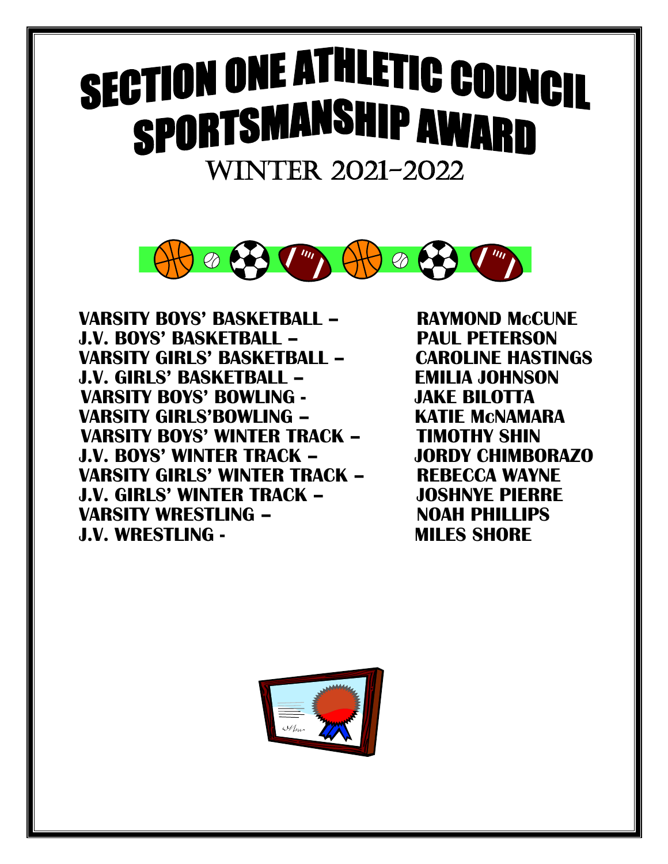## Ĭ WINTER 2021-2022



**VARSITY BOYS' BASKETBALL – RAYMOND McCUNE J.V. BOYS' BASKETBALL – PAUL PETERSON VARSITY GIRLS' BASKETBALL -J.V. GIRLS' BASKETBALL – EMILIA JOHNSON VARSITY BOYS' BOWLING - JAKE BILOTTA VARSITY GIRLS'BOWLING – KATIE McNAMARA VARSITY BOYS' WINTER TRACK – TIMOTHY SHIN J.V. BOYS' WINTER TRACK – JORDY CHIMBORAZO VARSITY GIRLS' WINTER TRACK – REBECCA WAYNE J.V. GIRLS' WINTER TRACK – JOSHNYE PIERRE**  VARSITY WRESTLING – NOAH PHILLIPS **J.V. WRESTLING - MILLES SHORE** 

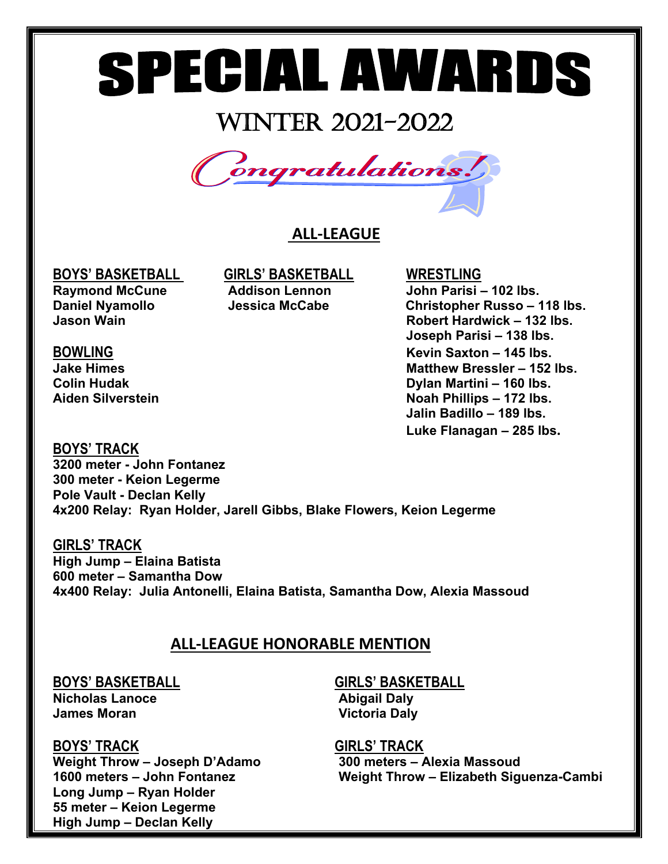## WINTER 2021-2022



### **ALL-LEAGUE**

**BOYS' BASKETBALL GIRLS' BASKETBALL WRESTLING** 

**Raymond McCune Addison Lennon John Parisi – 102 lbs. Daniel Nyamollo Jessica McCabe Christopher Russo – 118 lbs. Jason Wain Robert Hardwick – 132 lbs. Joseph Parisi – 138 lbs. BOWLING Kevin Saxton – 145 lbs. Jake Himes Matthew Bressler – 152 lbs. Colin Hudak Dylan Martini – 160 lbs. Aiden Silverstein Noah Phillips – 172 lbs. Jalin Badillo – 189 lbs. Luke Flanagan – 285 lbs.**

**BOYS' TRACK 3200 meter - John Fontanez 300 meter - Keion Legerme Pole Vault - Declan Kelly 4x200 Relay: Ryan Holder, Jarell Gibbs, Blake Flowers, Keion Legerme** 

**GIRLS' TRACK High Jump – Elaina Batista 600 meter – Samantha Dow 4x400 Relay: Julia Antonelli, Elaina Batista, Samantha Dow, Alexia Massoud**

### **ALL-LEAGUE HONORABLE MENTION**

**Nicholas Lanoce Abigail Daly James Moran Community Community Community Community Victoria Daly** 

**Weight Throw – Joseph D'Adamo 300 meters – Alexia Massoud Long Jump – Ryan Holder 55 meter – Keion Legerme High Jump – Declan Kelly**

## **BOYS' BASKETBALL GIRLS' BASKETBALL**

**BOYS' TRACK GIRLS' TRACK 1600 meters – John Fontanez Weight Throw – Elizabeth Siguenza-Cambi**